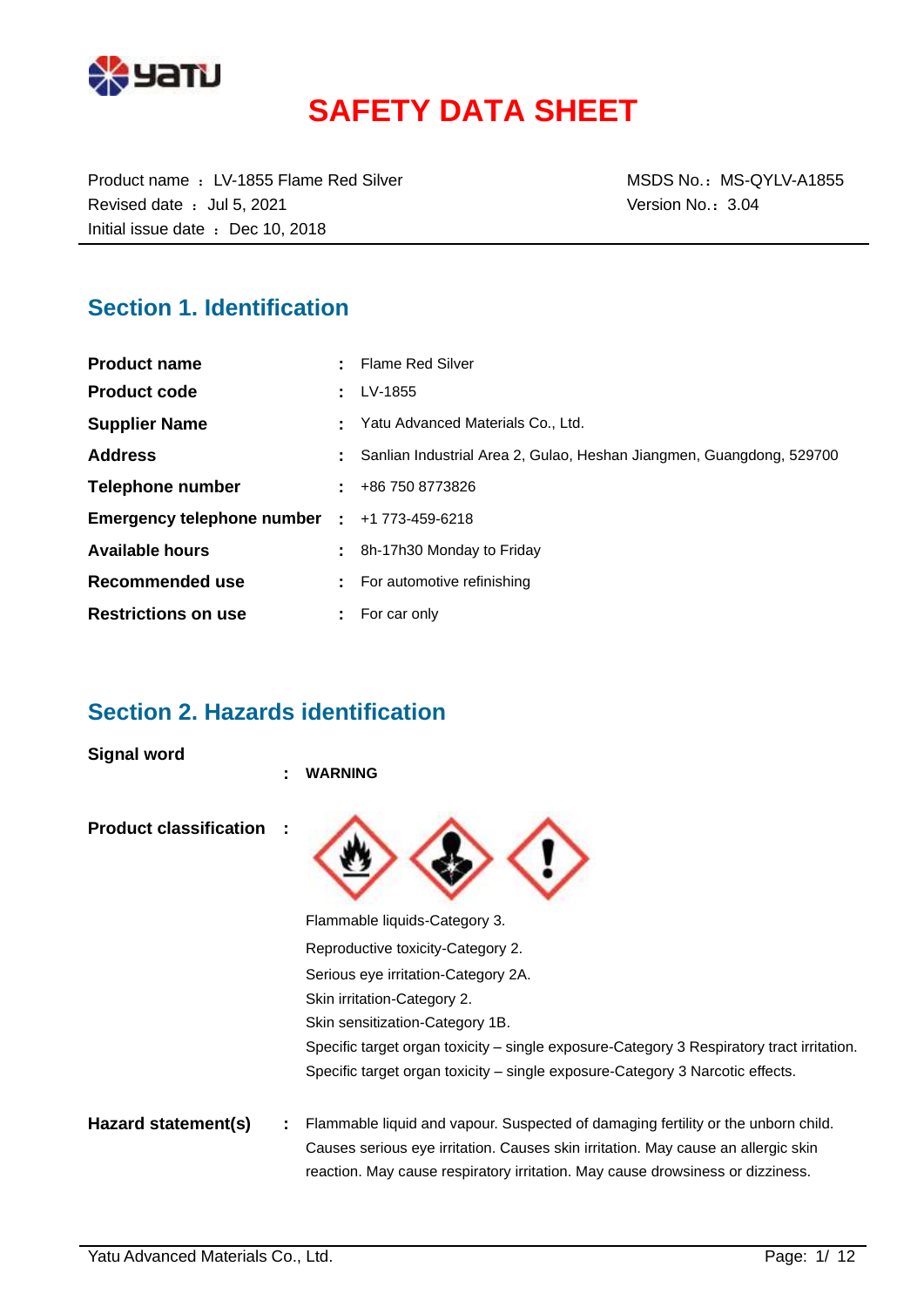

# **SAFETY DATA SHEET**

Product name : LV-1855 Flame Red Silver MSDS No.: MS-QYLV-A1855 Revised date : Jul 5, 2021 Case of the Version No.: 3.04 Initial issue date : Dec 10, 2018

### **Section 1. Identification**

| <b>Product name</b>                                 | : Flame Red Silver                                                   |
|-----------------------------------------------------|----------------------------------------------------------------------|
| <b>Product code</b>                                 | LV-1855                                                              |
| <b>Supplier Name</b>                                | Yatu Advanced Materials Co., Ltd.                                    |
| <b>Address</b>                                      | Sanlian Industrial Area 2, Gulao, Heshan Jiangmen, Guangdong, 529700 |
| Telephone number                                    | $\pm 486$ 750 8773826                                                |
| <b>Emergency telephone number : +1 773-459-6218</b> |                                                                      |
| <b>Available hours</b>                              | 8h-17h30 Monday to Friday                                            |
| Recommended use                                     | For automotive refinishing                                           |
| <b>Restrictions on use</b>                          | $:$ For car only                                                     |

### **Section 2. Hazards identification**

**Signal word**

|                               | ٠ | <b>WARNING</b>                                                                                                                                                      |
|-------------------------------|---|---------------------------------------------------------------------------------------------------------------------------------------------------------------------|
| <b>Product classification</b> |   |                                                                                                                                                                     |
|                               |   | Flammable liquids-Category 3.                                                                                                                                       |
|                               |   | Reproductive toxicity-Category 2.                                                                                                                                   |
|                               |   | Serious eye irritation-Category 2A.                                                                                                                                 |
|                               |   | Skin irritation-Category 2.                                                                                                                                         |
|                               |   | Skin sensitization-Category 1B.                                                                                                                                     |
|                               |   | Specific target organ toxicity – single exposure-Category 3 Respiratory tract irritation.                                                                           |
|                               |   | Specific target organ toxicity – single exposure-Category 3 Narcotic effects.                                                                                       |
| Hazard statement(s)           |   | Flammable liquid and vapour. Suspected of damaging fertility or the unborn child.                                                                                   |
|                               |   | Causes serious eye irritation. Causes skin irritation. May cause an allergic skin<br>reaction. May cause respiratory irritation. May cause drowsiness or dizziness. |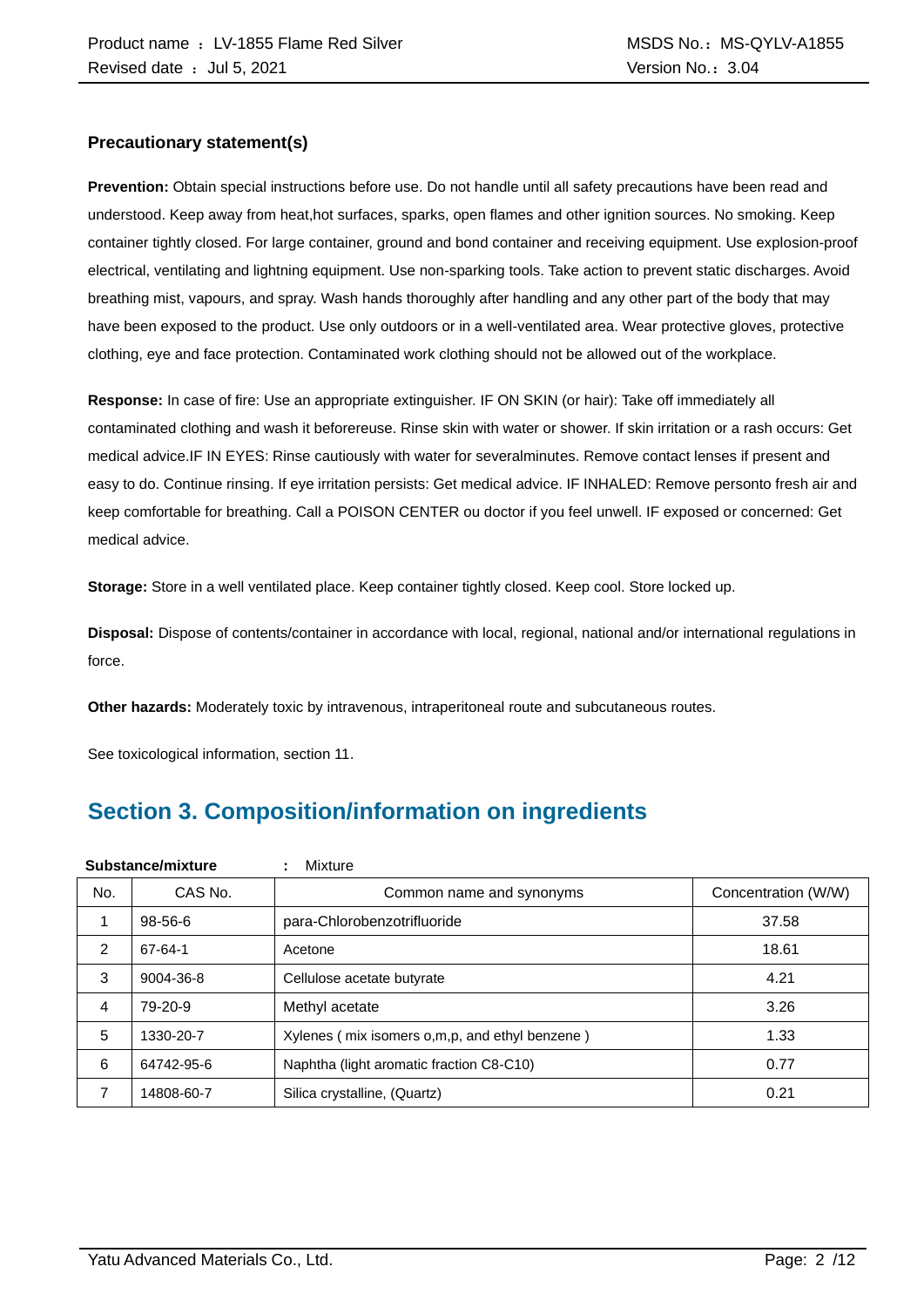#### **Precautionary statement(s)**

**Prevention:** Obtain special instructions before use. Do not handle until all safety precautions have been read and understood. Keep away from heat,hot surfaces, sparks, open flames and other ignition sources. No smoking. Keep container tightly closed. For large container, ground and bond container and receiving equipment. Use explosion-proof electrical, ventilating and lightning equipment. Use non-sparking tools. Take action to prevent static discharges. Avoid breathing mist, vapours, and spray. Wash hands thoroughly after handling and any other part of the body that may have been exposed to the product. Use only outdoors or in a well-ventilated area. Wear protective gloves, protective clothing, eye and face protection. Contaminated work clothing should not be allowed out of the workplace.

**Response:** In case of fire: Use an appropriate extinguisher. IF ON SKIN (or hair): Take off immediately all contaminated clothing and wash it beforereuse. Rinse skin with water or shower. If skin irritation or a rash occurs: Get medical advice.IF IN EYES: Rinse cautiously with water for severalminutes. Remove contact lenses if present and easy to do. Continue rinsing. If eye irritation persists: Get medical advice. IF INHALED: Remove personto fresh air and keep comfortable for breathing. Call a POISON CENTER ou doctor if you feel unwell. IF exposed or concerned: Get medical advice.

**Storage:** Store in a well ventilated place. Keep container tightly closed. Keep cool. Store locked up.

**Disposal:** Dispose of contents/container in accordance with local, regional, national and/or international regulations in force.

**Other hazards:** Moderately toxic by intravenous, intraperitoneal route and subcutaneous routes.

See toxicological information, section 11.

## **Section 3. Composition/information on ingredients**

|     | Substance/mixture | Mixture<br>÷                                   |                     |
|-----|-------------------|------------------------------------------------|---------------------|
| No. | CAS No.           | Common name and synonyms                       | Concentration (W/W) |
|     | $98 - 56 - 6$     | para-Chlorobenzotrifluoride                    | 37.58               |
| 2   | 67-64-1           | Acetone                                        | 18.61               |
| 3   | 9004-36-8         | Cellulose acetate butyrate                     | 4.21                |
| 4   | 79-20-9           | Methyl acetate                                 | 3.26                |
| 5   | 1330-20-7         | Xylenes (mix isomers o,m,p, and ethyl benzene) | 1.33                |
| 6   | 64742-95-6        | Naphtha (light aromatic fraction C8-C10)       | 0.77                |
| 7   | 14808-60-7        | Silica crystalline, (Quartz)                   | 0.21                |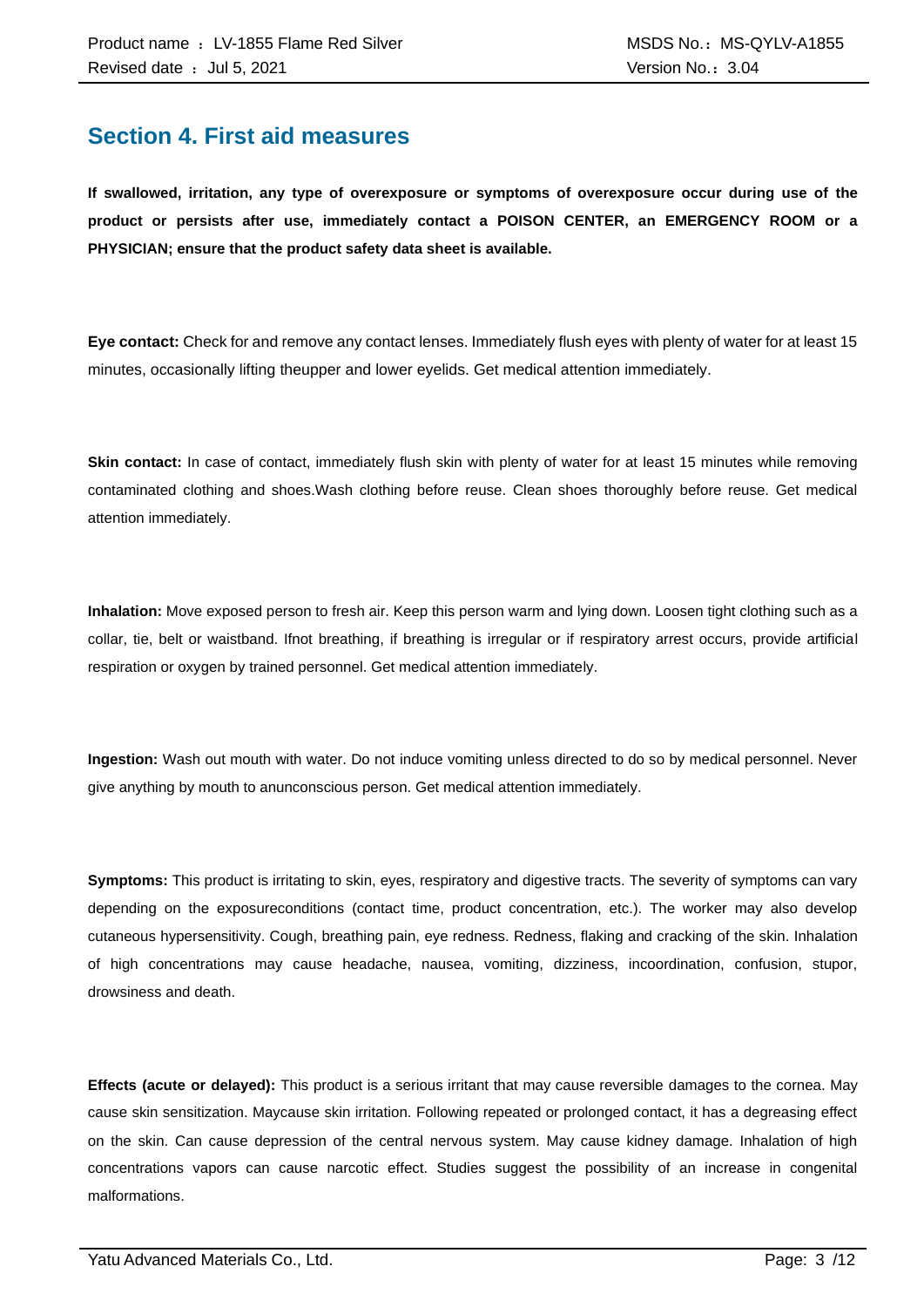### **Section 4. First aid measures**

**If swallowed, irritation, any type of overexposure or symptoms of overexposure occur during use of the product or persists after use, immediately contact a POISON CENTER, an EMERGENCY ROOM or a PHYSICIAN; ensure that the product safety data sheet is available.**

**Eye contact:** Check for and remove any contact lenses. Immediately flush eyes with plenty of water for at least 15 minutes, occasionally lifting theupper and lower eyelids. Get medical attention immediately.

**Skin contact:** In case of contact, immediately flush skin with plenty of water for at least 15 minutes while removing contaminated clothing and shoes.Wash clothing before reuse. Clean shoes thoroughly before reuse. Get medical attention immediately.

**Inhalation:** Move exposed person to fresh air. Keep this person warm and lying down. Loosen tight clothing such as a collar, tie, belt or waistband. Ifnot breathing, if breathing is irregular or if respiratory arrest occurs, provide artificial respiration or oxygen by trained personnel. Get medical attention immediately.

**Ingestion:** Wash out mouth with water. Do not induce vomiting unless directed to do so by medical personnel. Never give anything by mouth to anunconscious person. Get medical attention immediately.

**Symptoms:** This product is irritating to skin, eyes, respiratory and digestive tracts. The severity of symptoms can vary depending on the exposureconditions (contact time, product concentration, etc.). The worker may also develop cutaneous hypersensitivity. Cough, breathing pain, eye redness. Redness, flaking and cracking of the skin. Inhalation of high concentrations may cause headache, nausea, vomiting, dizziness, incoordination, confusion, stupor, drowsiness and death.

**Effects (acute or delayed):** This product is a serious irritant that may cause reversible damages to the cornea. May cause skin sensitization. Maycause skin irritation. Following repeated or prolonged contact, it has a degreasing effect on the skin. Can cause depression of the central nervous system. May cause kidney damage. Inhalation of high concentrations vapors can cause narcotic effect. Studies suggest the possibility of an increase in congenital malformations.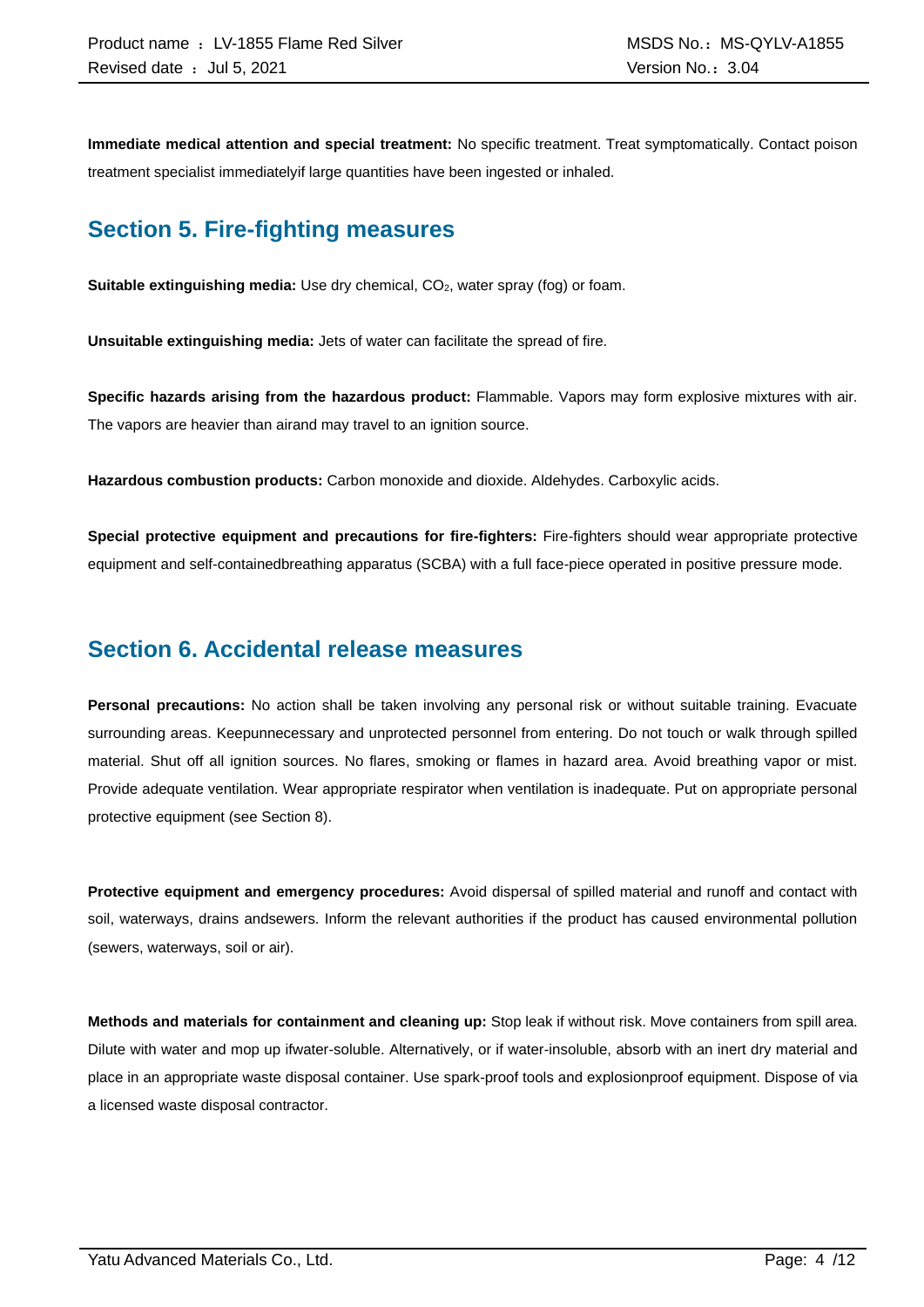**Immediate medical attention and special treatment:** No specific treatment. Treat symptomatically. Contact poison treatment specialist immediatelyif large quantities have been ingested or inhaled.

### **Section 5. Fire-fighting measures**

**Suitable extinguishing media:** Use dry chemical, CO<sub>2</sub>, water spray (fog) or foam.

**Unsuitable extinguishing media:** Jets of water can facilitate the spread of fire.

**Specific hazards arising from the hazardous product:** Flammable. Vapors may form explosive mixtures with air. The vapors are heavier than airand may travel to an ignition source.

**Hazardous combustion products:** Carbon monoxide and dioxide. Aldehydes. Carboxylic acids.

**Special protective equipment and precautions for fire-fighters:** Fire-fighters should wear appropriate protective equipment and self-containedbreathing apparatus (SCBA) with a full face-piece operated in positive pressure mode.

### **Section 6. Accidental release measures**

**Personal precautions:** No action shall be taken involving any personal risk or without suitable training. Evacuate surrounding areas. Keepunnecessary and unprotected personnel from entering. Do not touch or walk through spilled material. Shut off all ignition sources. No flares, smoking or flames in hazard area. Avoid breathing vapor or mist. Provide adequate ventilation. Wear appropriate respirator when ventilation is inadequate. Put on appropriate personal protective equipment (see Section 8).

**Protective equipment and emergency procedures:** Avoid dispersal of spilled material and runoff and contact with soil, waterways, drains andsewers. Inform the relevant authorities if the product has caused environmental pollution (sewers, waterways, soil or air).

**Methods and materials for containment and cleaning up:** Stop leak if without risk. Move containers from spill area. Dilute with water and mop up ifwater-soluble. Alternatively, or if water-insoluble, absorb with an inert dry material and place in an appropriate waste disposal container. Use spark-proof tools and explosionproof equipment. Dispose of via a licensed waste disposal contractor.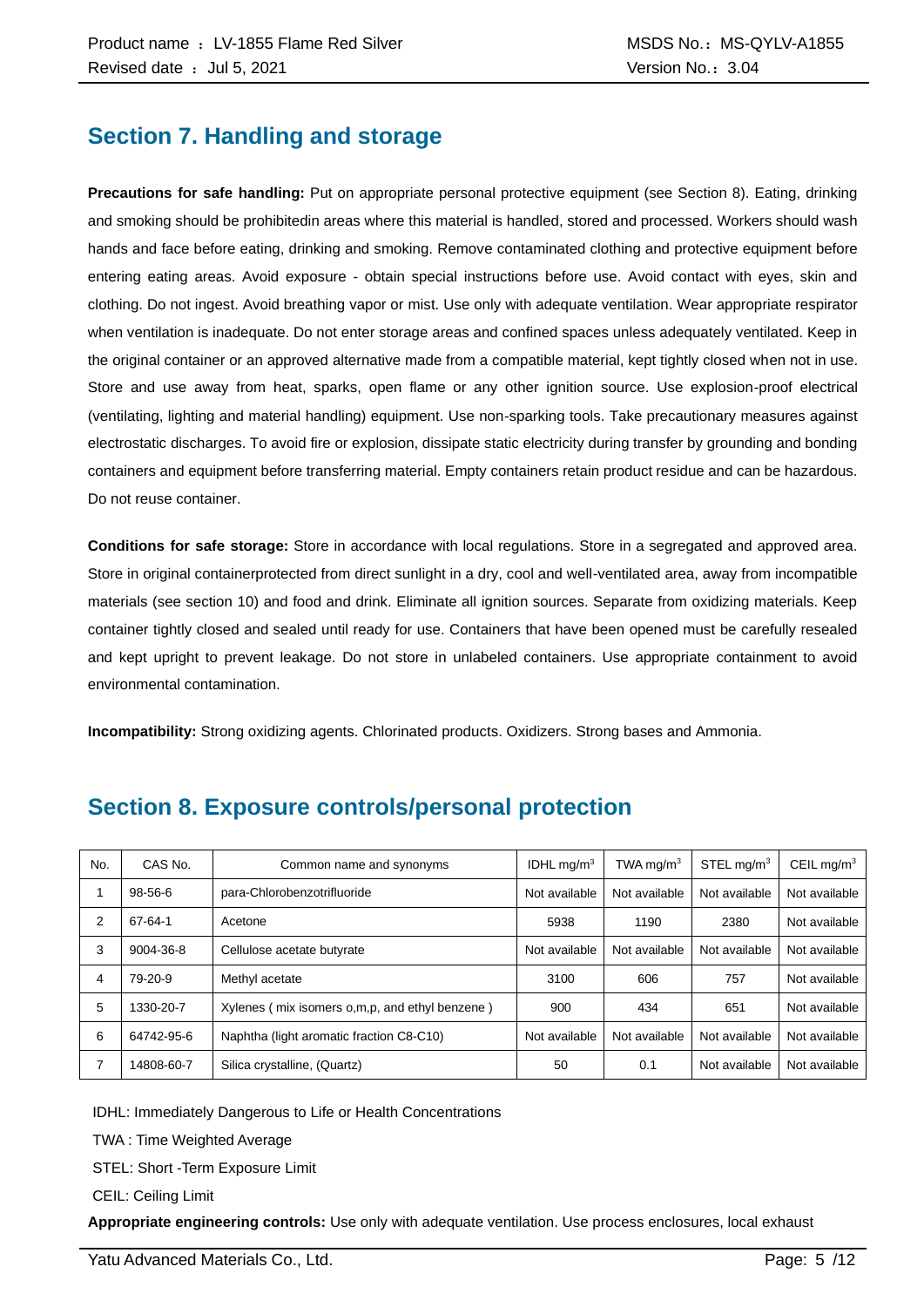### **Section 7. Handling and storage**

**Precautions for safe handling:** Put on appropriate personal protective equipment (see Section 8). Eating, drinking and smoking should be prohibitedin areas where this material is handled, stored and processed. Workers should wash hands and face before eating, drinking and smoking. Remove contaminated clothing and protective equipment before entering eating areas. Avoid exposure - obtain special instructions before use. Avoid contact with eyes, skin and clothing. Do not ingest. Avoid breathing vapor or mist. Use only with adequate ventilation. Wear appropriate respirator when ventilation is inadequate. Do not enter storage areas and confined spaces unless adequately ventilated. Keep in the original container or an approved alternative made from a compatible material, kept tightly closed when not in use. Store and use away from heat, sparks, open flame or any other ignition source. Use explosion-proof electrical (ventilating, lighting and material handling) equipment. Use non-sparking tools. Take precautionary measures against electrostatic discharges. To avoid fire or explosion, dissipate static electricity during transfer by grounding and bonding containers and equipment before transferring material. Empty containers retain product residue and can be hazardous. Do not reuse container.

**Conditions for safe storage:** Store in accordance with local regulations. Store in a segregated and approved area. Store in original containerprotected from direct sunlight in a dry, cool and well-ventilated area, away from incompatible materials (see section 10) and food and drink. Eliminate all ignition sources. Separate from oxidizing materials. Keep container tightly closed and sealed until ready for use. Containers that have been opened must be carefully resealed and kept upright to prevent leakage. Do not store in unlabeled containers. Use appropriate containment to avoid environmental contamination.

**Incompatibility:** Strong oxidizing agents. Chlorinated products. Oxidizers. Strong bases and Ammonia.

| No. | CAS No.    | Common name and synonyms                         | IDHL $mq/m3$  | TWA mg/m $3$  | STEL mg/m <sup>3</sup> | CEIL mg/ $m3$ |
|-----|------------|--------------------------------------------------|---------------|---------------|------------------------|---------------|
|     | 98-56-6    | para-Chlorobenzotrifluoride                      | Not available | Not available | Not available          | Not available |
| 2   | 67-64-1    | Acetone                                          | 5938          | 1190          | 2380                   | Not available |
| 3   | 9004-36-8  | Cellulose acetate butyrate                       | Not available | Not available | Not available          | Not available |
| 4   | 79-20-9    | Methyl acetate                                   | 3100          | 606           | 757                    | Not available |
| 5   | 1330-20-7  | Xylenes (mix isomers o, m, p, and ethyl benzene) | 900           | 434           | 651                    | Not available |
| 6   | 64742-95-6 | Naphtha (light aromatic fraction C8-C10)         | Not available | Not available | Not available          | Not available |
|     | 14808-60-7 | Silica crystalline, (Quartz)                     | 50            | 0.1           | Not available          | Not available |

### **Section 8. Exposure controls/personal protection**

IDHL: Immediately Dangerous to Life or Health Concentrations

TWA : Time Weighted Average

STEL: Short -Term Exposure Limit

CEIL: Ceiling Limit

**Appropriate engineering controls:** Use only with adequate ventilation. Use process enclosures, local exhaust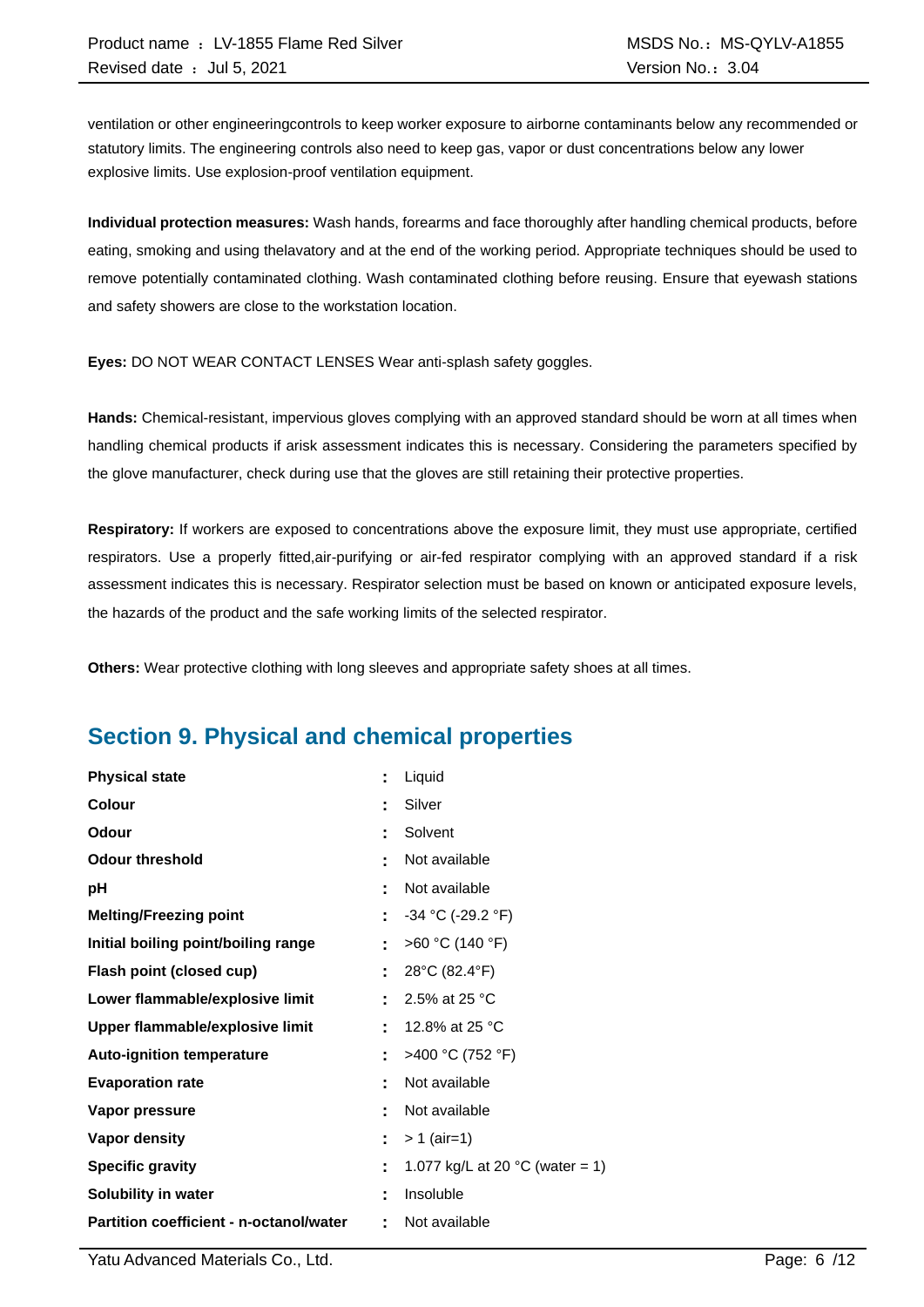ventilation or other engineeringcontrols to keep worker exposure to airborne contaminants below any recommended or statutory limits. The engineering controls also need to keep gas, vapor or dust concentrations below any lower explosive limits. Use explosion-proof ventilation equipment.

**Individual protection measures:** Wash hands, forearms and face thoroughly after handling chemical products, before eating, smoking and using thelavatory and at the end of the working period. Appropriate techniques should be used to remove potentially contaminated clothing. Wash contaminated clothing before reusing. Ensure that eyewash stations and safety showers are close to the workstation location.

**Eyes:** DO NOT WEAR CONTACT LENSES Wear anti-splash safety goggles.

**Hands:** Chemical-resistant, impervious gloves complying with an approved standard should be worn at all times when handling chemical products if arisk assessment indicates this is necessary. Considering the parameters specified by the glove manufacturer, check during use that the gloves are still retaining their protective properties.

**Respiratory:** If workers are exposed to concentrations above the exposure limit, they must use appropriate, certified respirators. Use a properly fitted,air-purifying or air-fed respirator complying with an approved standard if a risk assessment indicates this is necessary. Respirator selection must be based on known or anticipated exposure levels, the hazards of the product and the safe working limits of the selected respirator.

**Others:** Wear protective clothing with long sleeves and appropriate safety shoes at all times.

### **Section 9. Physical and chemical properties**

| <b>Physical state</b>                   | t  | Liquid                                    |
|-----------------------------------------|----|-------------------------------------------|
| Colour                                  | ٠  | Silver                                    |
| Odour                                   | t  | Solvent                                   |
| <b>Odour threshold</b>                  | ٠  | Not available                             |
| рH                                      | t  | Not available                             |
| <b>Melting/Freezing point</b>           | t  | $-34$ °C (-29.2 °F)                       |
| Initial boiling point/boiling range     | ÷  | >60 °C (140 °F)                           |
| Flash point (closed cup)                | t  | 28°C (82.4°F)                             |
| Lower flammable/explosive limit         |    | 2.5% at 25 °C                             |
| Upper flammable/explosive limit         | t  | 12.8% at 25 °C                            |
| <b>Auto-ignition temperature</b>        | Ì. | >400 °C (752 °F)                          |
| <b>Evaporation rate</b>                 | t  | Not available                             |
| Vapor pressure                          | ٠  | Not available                             |
| <b>Vapor density</b>                    | ÷  | $> 1$ (air=1)                             |
| <b>Specific gravity</b>                 | t  | 1.077 kg/L at 20 $^{\circ}$ C (water = 1) |
| Solubility in water                     | t  | Insoluble                                 |
| Partition coefficient - n-octanol/water | t  | Not available                             |

Yatu Advanced Materials Co., Ltd. Page: 6 /12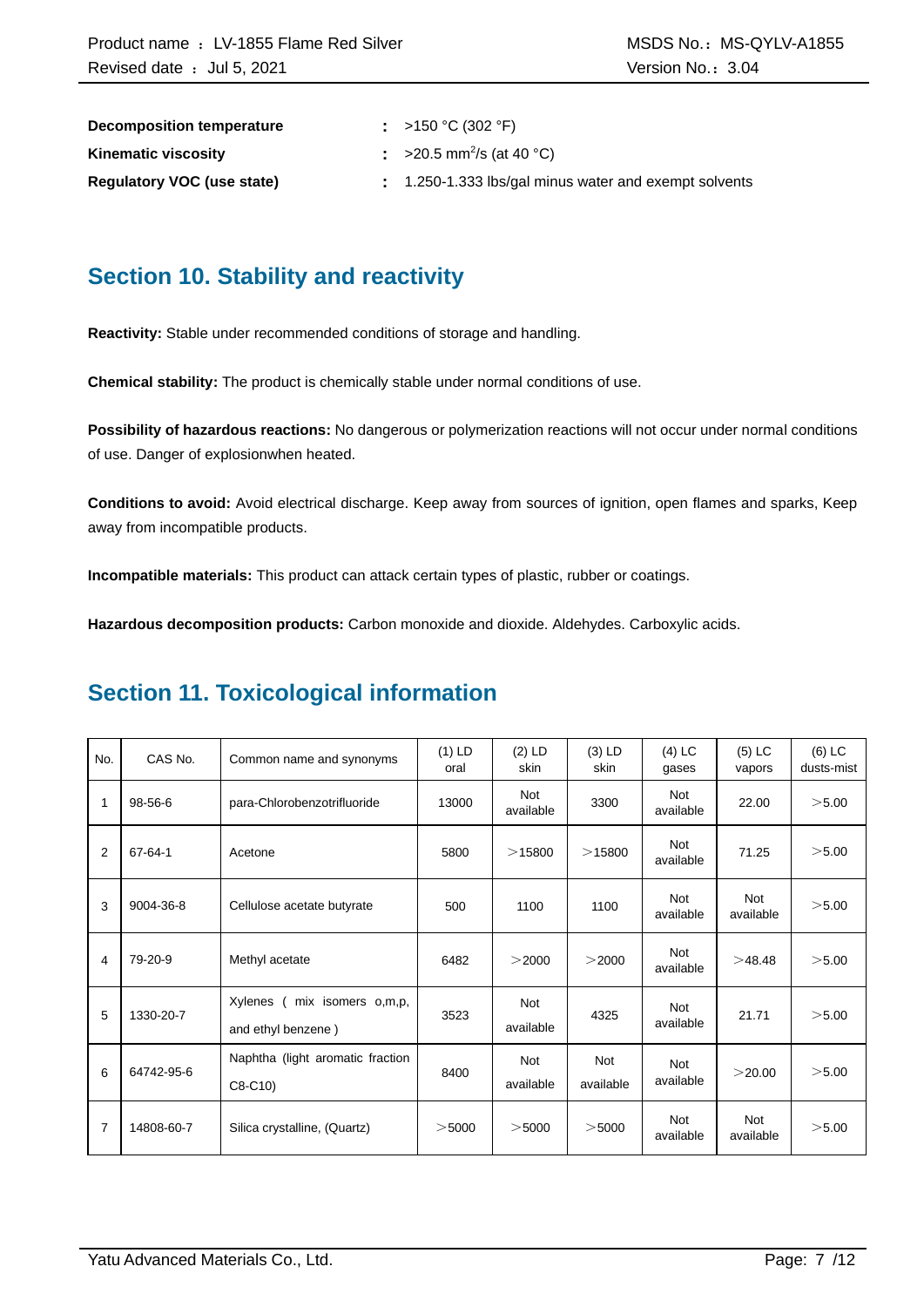| Decomposition temperature         | : >150 °C (302 °F)                                  |
|-----------------------------------|-----------------------------------------------------|
| <b>Kinematic viscosity</b>        | $\approx$ >20.5 mm <sup>2</sup> /s (at 40 °C)       |
| <b>Requiatory VOC (use state)</b> | 1.250-1.333 lbs/gal minus water and exempt solvents |

### **Section 10. Stability and reactivity**

**Reactivity:** Stable under recommended conditions of storage and handling.

**Chemical stability:** The product is chemically stable under normal conditions of use.

**Possibility of hazardous reactions:** No dangerous or polymerization reactions will not occur under normal conditions of use. Danger of explosionwhen heated.

**Conditions to avoid:** Avoid electrical discharge. Keep away from sources of ignition, open flames and sparks, Keep away from incompatible products.

**Incompatible materials:** This product can attack certain types of plastic, rubber or coatings.

**Hazardous decomposition products:** Carbon monoxide and dioxide. Aldehydes. Carboxylic acids.

### **Section 11. Toxicological information**

| No. | CAS No.       | Common name and synonyms                            | $(1)$ LD<br>oral | $(2)$ LD<br>skin        | $(3)$ LD<br>skin        | $(4)$ LC<br>gases       | $(5)$ LC<br>vapors      | $(6)$ LC<br>dusts-mist |
|-----|---------------|-----------------------------------------------------|------------------|-------------------------|-------------------------|-------------------------|-------------------------|------------------------|
| 1   | 98-56-6       | para-Chlorobenzotrifluoride                         | 13000            | <b>Not</b><br>available | 3300                    | Not<br>available        | 22.00                   | >5.00                  |
| 2   | $67 - 64 - 1$ | Acetone                                             | 5800             | >15800                  | >15800                  | <b>Not</b><br>available | 71.25                   | >5.00                  |
| 3   | 9004-36-8     | Cellulose acetate butyrate                          | 500              | 1100                    | 1100                    | <b>Not</b><br>available | <b>Not</b><br>available | >5.00                  |
| 4   | 79-20-9       | Methyl acetate                                      | 6482             | >2000                   | >2000                   | <b>Not</b><br>available | >48.48                  | >5.00                  |
| 5   | 1330-20-7     | Xylenes<br>mix isomers o,m,p,<br>and ethyl benzene) | 3523             | <b>Not</b><br>available | 4325                    | <b>Not</b><br>available | 21.71                   | >5.00                  |
| 6   | 64742-95-6    | Naphtha (light aromatic fraction<br>$C8-C10$        | 8400             | <b>Not</b><br>available | <b>Not</b><br>available | <b>Not</b><br>available | >20.00                  | >5.00                  |
| 7   | 14808-60-7    | Silica crystalline, (Quartz)                        | $>$ 5000         | $>$ 5000                | $>$ 5000                | <b>Not</b><br>available | <b>Not</b><br>available | >5.00                  |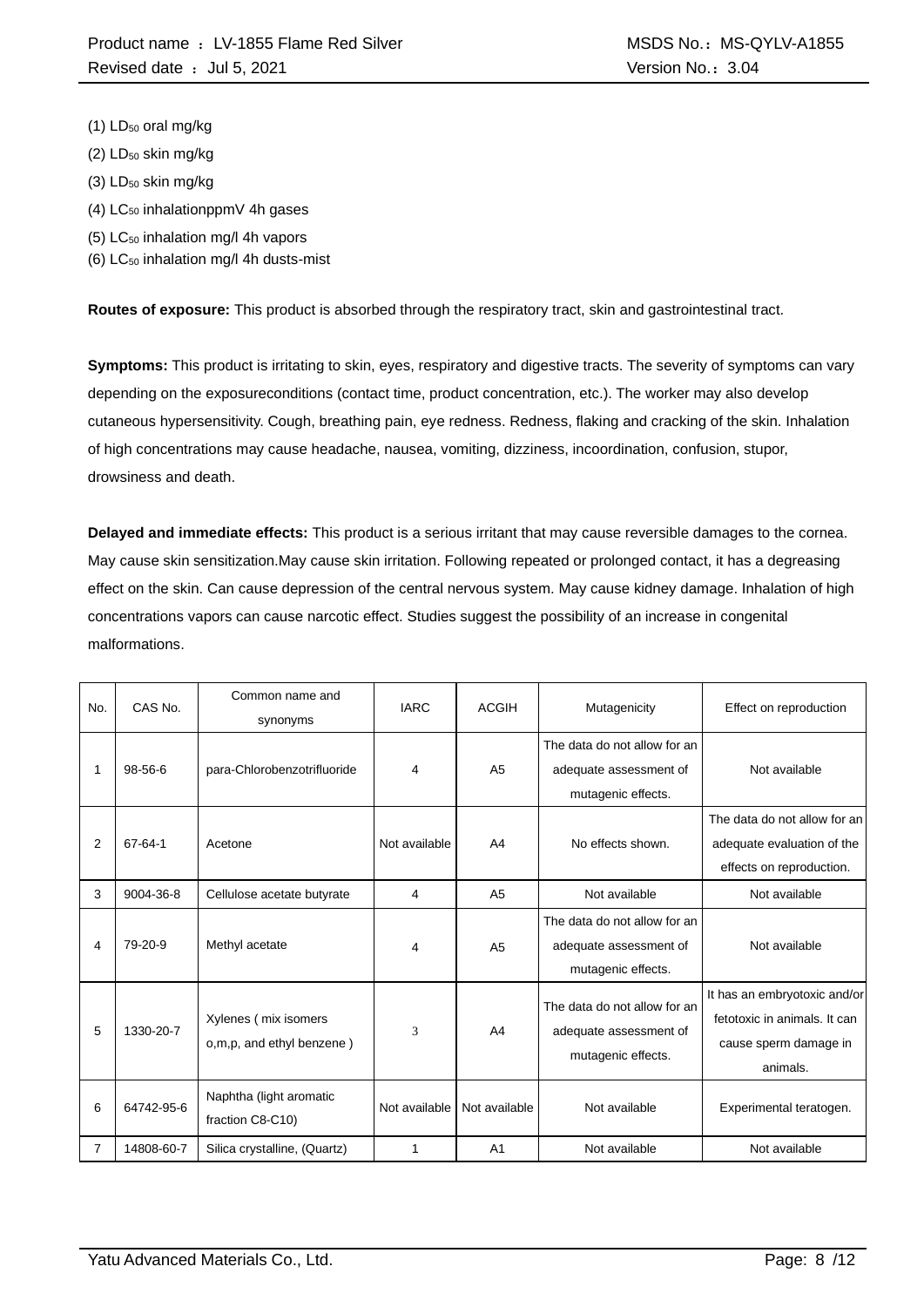- $(1)$  LD<sub>50</sub> oral mg/kg
- $(2)$  LD<sub>50</sub> skin mg/kg
- (3) LD<sub>50</sub> skin mg/kg
- $(4)$  LC<sub>50</sub> inhalationppmV 4h gases
- (5) LC<sup>50</sup> inhalation mg/l 4h vapors
- (6)  $LC_{50}$  inhalation mg/l 4h dusts-mist

**Routes of exposure:** This product is absorbed through the respiratory tract, skin and gastrointestinal tract.

**Symptoms:** This product is irritating to skin, eyes, respiratory and digestive tracts. The severity of symptoms can vary depending on the exposureconditions (contact time, product concentration, etc.). The worker may also develop cutaneous hypersensitivity. Cough, breathing pain, eye redness. Redness, flaking and cracking of the skin. Inhalation of high concentrations may cause headache, nausea, vomiting, dizziness, incoordination, confusion, stupor, drowsiness and death.

**Delayed and immediate effects:** This product is a serious irritant that may cause reversible damages to the cornea. May cause skin sensitization.May cause skin irritation. Following repeated or prolonged contact, it has a degreasing effect on the skin. Can cause depression of the central nervous system. May cause kidney damage. Inhalation of high concentrations vapors can cause narcotic effect. Studies suggest the possibility of an increase in congenital malformations.

| No. | CAS No.       | Common name and<br>synonyms                       | <b>IARC</b>   | <b>ACGIH</b>   | Mutagenicity                                                                 | Effect on reproduction                                                                            |
|-----|---------------|---------------------------------------------------|---------------|----------------|------------------------------------------------------------------------------|---------------------------------------------------------------------------------------------------|
|     | $98 - 56 - 6$ | para-Chlorobenzotrifluoride                       | 4             | A <sub>5</sub> | The data do not allow for an<br>adequate assessment of<br>mutagenic effects. | Not available                                                                                     |
| 2   | 67-64-1       | Acetone                                           | Not available | A <sub>4</sub> | No effects shown.                                                            | The data do not allow for an<br>adequate evaluation of the<br>effects on reproduction.            |
| 3   | 9004-36-8     | Cellulose acetate butyrate                        | 4             | A <sub>5</sub> | Not available                                                                | Not available                                                                                     |
| 4   | 79-20-9       | Methyl acetate                                    | 4             | A <sub>5</sub> | The data do not allow for an<br>adequate assessment of<br>mutagenic effects. | Not available                                                                                     |
| 5   | 1330-20-7     | Xylenes (mix isomers<br>o,m,p, and ethyl benzene) | 3             | A <sub>4</sub> | The data do not allow for an<br>adequate assessment of<br>mutagenic effects. | It has an embryotoxic and/or<br>fetotoxic in animals. It can<br>cause sperm damage in<br>animals. |
| 6   | 64742-95-6    | Naphtha (light aromatic<br>fraction C8-C10)       | Not available | Not available  | Not available                                                                | Experimental teratogen.                                                                           |
| 7   | 14808-60-7    | Silica crystalline, (Quartz)                      | 1             | A <sub>1</sub> | Not available                                                                | Not available                                                                                     |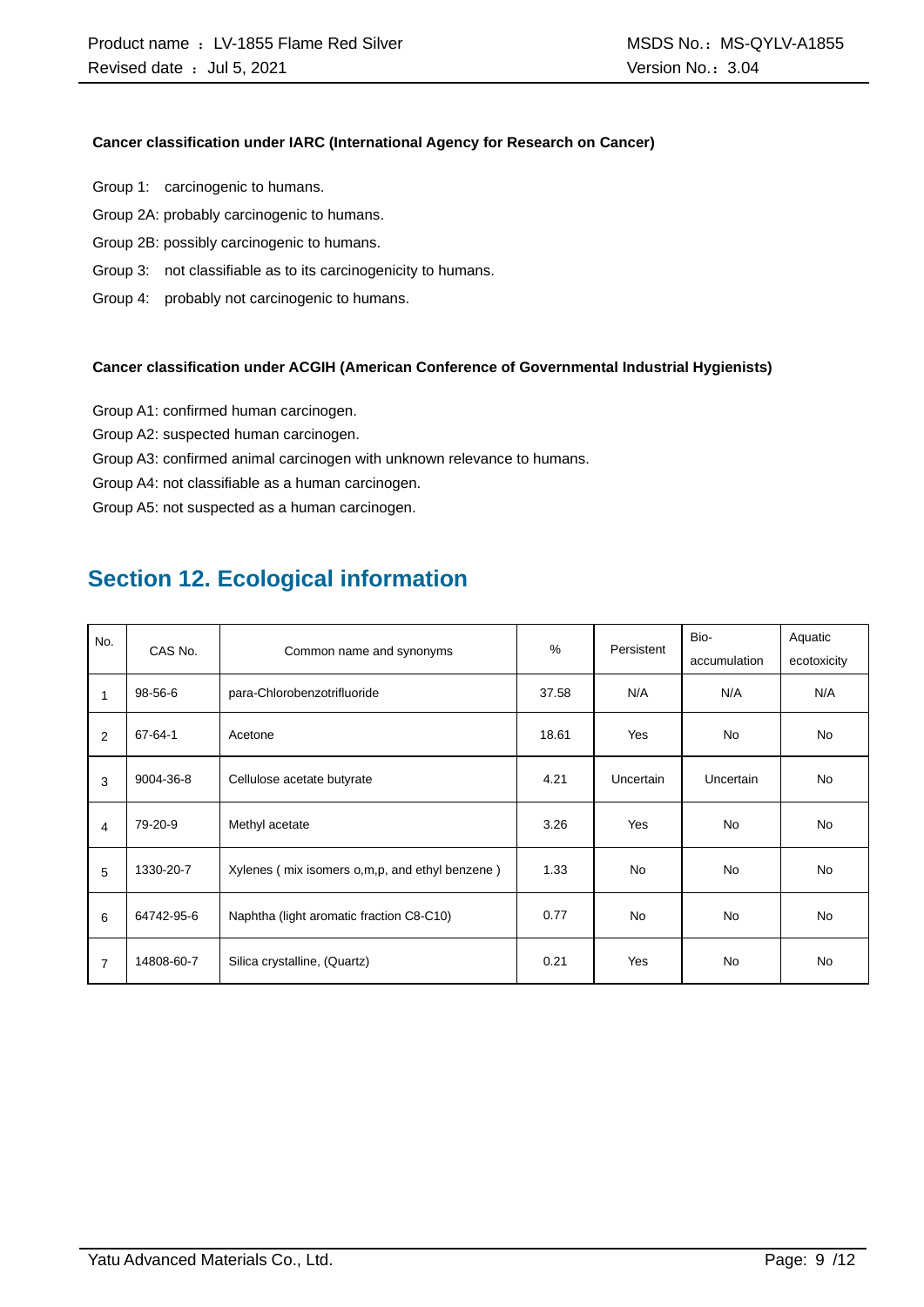#### **Cancer classification under IARC (International Agency for Research on Cancer)**

- Group 1: carcinogenic to humans.
- Group 2A: probably carcinogenic to humans.
- Group 2B: possibly carcinogenic to humans.
- Group 3: not classifiable as to its carcinogenicity to humans.
- Group 4: probably not carcinogenic to humans.

#### **Cancer classification under ACGIH (American Conference of Governmental Industrial Hygienists)**

- Group A1: confirmed human carcinogen.
- Group A2: suspected human carcinogen.
- Group A3: confirmed animal carcinogen with unknown relevance to humans.
- Group A4: not classifiable as a human carcinogen.

Group A5: not suspected as a human carcinogen.

### **Section 12. Ecological information**

| No.<br>CAS No. |               |                                                  | $\%$  | Persistent | Bio-             | Aquatic     |
|----------------|---------------|--------------------------------------------------|-------|------------|------------------|-------------|
|                |               | Common name and synonyms                         |       |            | accumulation     | ecotoxicity |
| $\mathbf{1}$   | 98-56-6       | para-Chlorobenzotrifluoride                      | 37.58 | N/A        | N/A              | N/A         |
| 2              | $67 - 64 - 1$ | Acetone                                          | 18.61 | Yes        | <b>No</b>        | <b>No</b>   |
| 3              | 9004-36-8     | Cellulose acetate butyrate                       | 4.21  | Uncertain  | <b>Uncertain</b> | <b>No</b>   |
| 4              | 79-20-9       | Methyl acetate                                   | 3.26  | Yes        | <b>No</b>        | <b>No</b>   |
| 5              | 1330-20-7     | Xylenes (mix isomers o, m, p, and ethyl benzene) | 1.33  | <b>No</b>  | <b>No</b>        | <b>No</b>   |
| 6              | 64742-95-6    | Naphtha (light aromatic fraction C8-C10)         | 0.77  | <b>No</b>  | <b>No</b>        | <b>No</b>   |
| $\overline{7}$ | 14808-60-7    | Silica crystalline, (Quartz)                     | 0.21  | Yes        | <b>No</b>        | <b>No</b>   |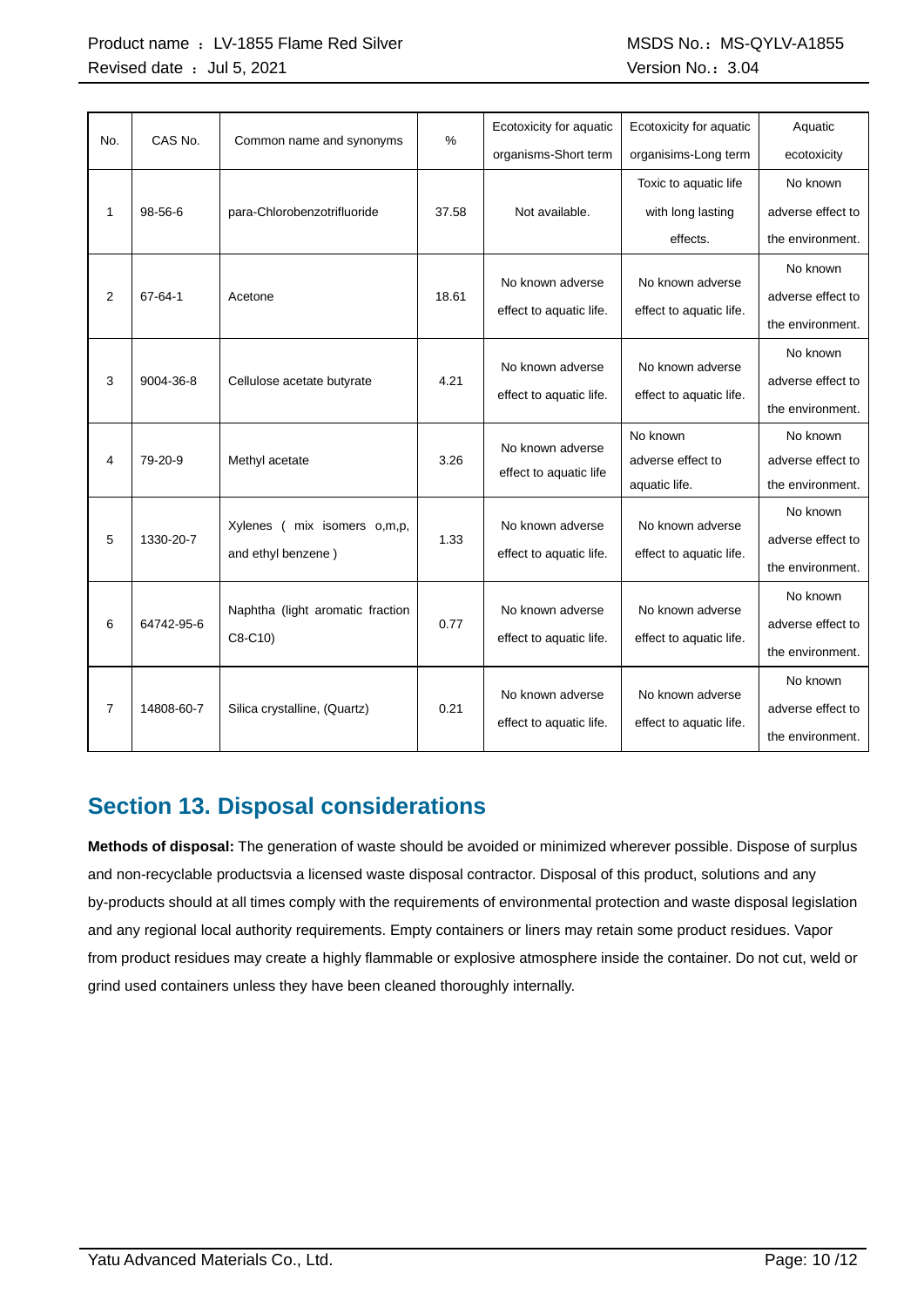#### Product name : LV-1855 Flame Red Silver MSCS No.: MSDS No.: MS-QYLV-A1855 Revised date : Jul 5, 2021 Case of the Contract of the Version No.: 3.04

| No.            | CAS No.       | Common name and synonyms         | %     | Ecotoxicity for aquatic | Ecotoxicity for aquatic | Aquatic           |
|----------------|---------------|----------------------------------|-------|-------------------------|-------------------------|-------------------|
|                |               |                                  |       | organisms-Short term    | organisims-Long term    | ecotoxicity       |
|                |               |                                  |       |                         | Toxic to aquatic life   | No known          |
| 1              | $98 - 56 - 6$ | para-Chlorobenzotrifluoride      | 37.58 | Not available.          | with long lasting       | adverse effect to |
|                |               |                                  |       |                         | effects.                | the environment.  |
|                |               |                                  |       |                         |                         | No known          |
| 2              | 67-64-1       | Acetone                          | 18.61 | No known adverse        | No known adverse        | adverse effect to |
|                |               |                                  |       | effect to aquatic life. | effect to aquatic life. | the environment.  |
|                |               |                                  |       |                         |                         | No known          |
| 3              | 9004-36-8     | Cellulose acetate butyrate       | 4.21  | No known adverse        | No known adverse        | adverse effect to |
|                |               |                                  |       | effect to aquatic life. | effect to aquatic life. | the environment.  |
|                |               |                                  |       | No known adverse        | No known                | No known          |
| 4              | 79-20-9       | Methyl acetate                   | 3.26  | effect to aquatic life  | adverse effect to       | adverse effect to |
|                |               |                                  |       |                         | aquatic life.           | the environment.  |
|                |               |                                  |       | No known adverse        | No known adverse        | No known          |
| 5              | 1330-20-7     | Xylenes (<br>mix isomers o,m,p,  | 1.33  |                         |                         | adverse effect to |
|                |               | and ethyl benzene)               |       | effect to aquatic life. | effect to aquatic life. | the environment.  |
|                |               |                                  |       |                         |                         | No known          |
| 6              | 64742-95-6    | Naphtha (light aromatic fraction | 0.77  | No known adverse        | No known adverse        | adverse effect to |
|                |               | C8-C10)                          |       | effect to aquatic life. | effect to aquatic life. | the environment.  |
|                |               |                                  |       |                         |                         | No known          |
| $\overline{7}$ | 14808-60-7    | Silica crystalline, (Quartz)     | 0.21  | No known adverse        | No known adverse        | adverse effect to |
|                |               |                                  |       | effect to aquatic life. | effect to aquatic life. | the environment.  |

## **Section 13. Disposal considerations**

**Methods of disposal:** The generation of waste should be avoided or minimized wherever possible. Dispose of surplus and non-recyclable productsvia a licensed waste disposal contractor. Disposal of this product, solutions and any by-products should at all times comply with the requirements of environmental protection and waste disposal legislation and any regional local authority requirements. Empty containers or liners may retain some product residues. Vapor from product residues may create a highly flammable or explosive atmosphere inside the container. Do not cut, weld or grind used containers unless they have been cleaned thoroughly internally.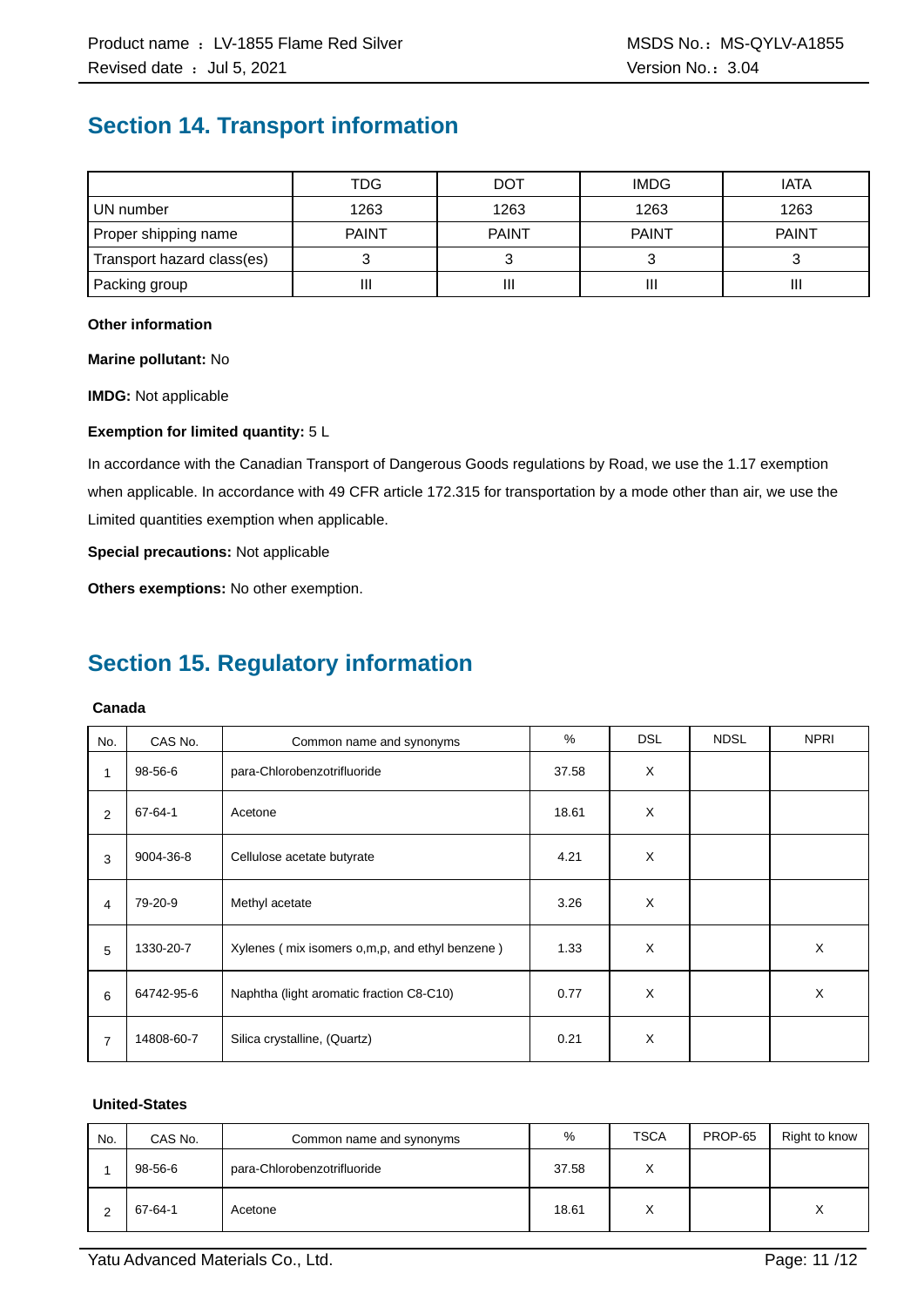### **Section 14. Transport information**

|                            | TDG          | <b>DOT</b>   | <b>IMDG</b>  | <b>IATA</b>  |
|----------------------------|--------------|--------------|--------------|--------------|
| UN number                  | 1263         | 1263         | 1263         | 1263         |
| Proper shipping name       | <b>PAINT</b> | <b>PAINT</b> | <b>PAINT</b> | <b>PAINT</b> |
| Transport hazard class(es) |              |              |              |              |
| Packing group              | П            | Ш            |              | Ш            |

#### **Other information**

**Marine pollutant:** No

**IMDG:** Not applicable

#### **Exemption for limited quantity:** 5 L

In accordance with the Canadian Transport of Dangerous Goods regulations by Road, we use the 1.17 exemption when applicable. In accordance with 49 CFR article 172.315 for transportation by a mode other than air, we use the Limited quantities exemption when applicable.

**Special precautions:** Not applicable

**Others exemptions:** No other exemption.

### **Section 15. Regulatory information**

#### **Canada**

| No. | CAS No.    | Common name and synonyms                       | %     | <b>DSL</b> | <b>NDSL</b> | <b>NPRI</b> |
|-----|------------|------------------------------------------------|-------|------------|-------------|-------------|
| 1   | 98-56-6    | para-Chlorobenzotrifluoride                    | 37.58 | X          |             |             |
| 2   | 67-64-1    | Acetone                                        | 18.61 | X          |             |             |
| 3   | 9004-36-8  | Cellulose acetate butyrate                     | 4.21  | X          |             |             |
| 4   | 79-20-9    | Methyl acetate                                 | 3.26  | X          |             |             |
| 5   | 1330-20-7  | Xylenes (mix isomers o,m,p, and ethyl benzene) | 1.33  | X          |             | X           |
| 6   | 64742-95-6 | Naphtha (light aromatic fraction C8-C10)       | 0.77  | X          |             | X           |
| 7   | 14808-60-7 | Silica crystalline, (Quartz)                   | 0.21  | X          |             |             |

#### **United-States**

| No. | CAS No. | Common name and synonyms    | %     | <b>TSCA</b>       | PROP-65 | Right to know |
|-----|---------|-----------------------------|-------|-------------------|---------|---------------|
|     | 98-56-6 | para-Chlorobenzotrifluoride | 37.58 | $\checkmark$      |         |               |
|     | 67-64-1 | Acetone                     | 18.61 | $\checkmark$<br>∧ |         | v<br>⋏        |